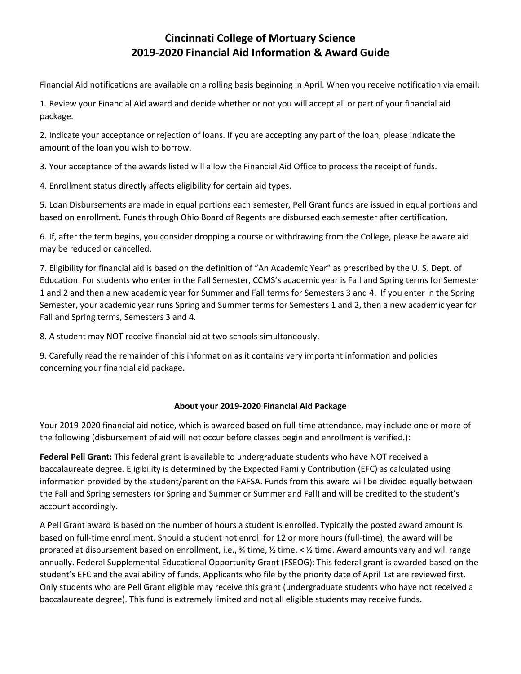# **Cincinnati College of Mortuary Science 2019-2020 Financial Aid Information & Award Guide**

Financial Aid notifications are available on a rolling basis beginning in April. When you receive notification via email:

1. Review your Financial Aid award and decide whether or not you will accept all or part of your financial aid package.

2. Indicate your acceptance or rejection of loans. If you are accepting any part of the loan, please indicate the amount of the loan you wish to borrow.

3. Your acceptance of the awards listed will allow the Financial Aid Office to process the receipt of funds.

4. Enrollment status directly affects eligibility for certain aid types.

5. Loan Disbursements are made in equal portions each semester, Pell Grant funds are issued in equal portions and based on enrollment. Funds through Ohio Board of Regents are disbursed each semester after certification.

6. If, after the term begins, you consider dropping a course or withdrawing from the College, please be aware aid may be reduced or cancelled.

7. Eligibility for financial aid is based on the definition of "An Academic Year" as prescribed by the U. S. Dept. of Education. For students who enter in the Fall Semester, CCMS's academic year is Fall and Spring terms for Semester 1 and 2 and then a new academic year for Summer and Fall terms for Semesters 3 and 4. If you enter in the Spring Semester, your academic year runs Spring and Summer terms for Semesters 1 and 2, then a new academic year for Fall and Spring terms, Semesters 3 and 4.

8. A student may NOT receive financial aid at two schools simultaneously.

9. Carefully read the remainder of this information as it contains very important information and policies concerning your financial aid package.

### **About your 2019-2020 Financial Aid Package**

Your 2019-2020 financial aid notice, which is awarded based on full-time attendance, may include one or more of the following (disbursement of aid will not occur before classes begin and enrollment is verified.):

**Federal Pell Grant:** This federal grant is available to undergraduate students who have NOT received a baccalaureate degree. Eligibility is determined by the Expected Family Contribution (EFC) as calculated using information provided by the student/parent on the FAFSA. Funds from this award will be divided equally between the Fall and Spring semesters (or Spring and Summer or Summer and Fall) and will be credited to the student's account accordingly.

A Pell Grant award is based on the number of hours a student is enrolled. Typically the posted award amount is based on full-time enrollment. Should a student not enroll for 12 or more hours (full-time), the award will be prorated at disbursement based on enrollment, i.e., ¾ time, ½ time, < ½ time. Award amounts vary and will range annually. Federal Supplemental Educational Opportunity Grant (FSEOG): This federal grant is awarded based on the student's EFC and the availability of funds. Applicants who file by the priority date of April 1st are reviewed first. Only students who are Pell Grant eligible may receive this grant (undergraduate students who have not received a baccalaureate degree). This fund is extremely limited and not all eligible students may receive funds.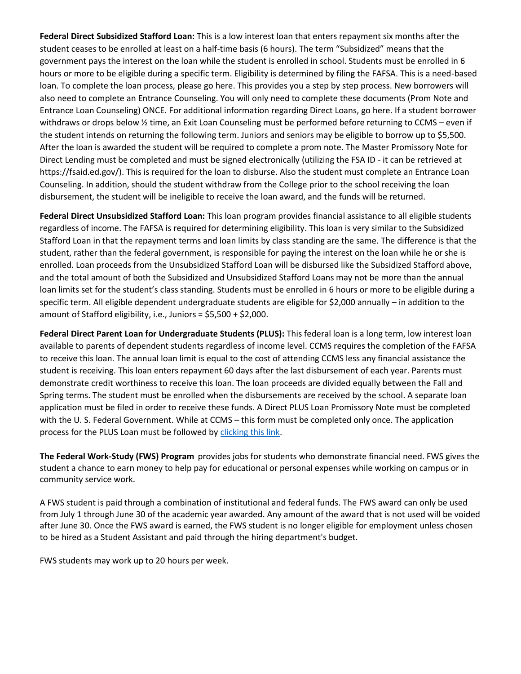**Federal Direct Subsidized Stafford Loan:** This is a low interest loan that enters repayment six months after the student ceases to be enrolled at least on a half-time basis (6 hours). The term "Subsidized" means that the government pays the interest on the loan while the student is enrolled in school. Students must be enrolled in 6 hours or more to be eligible during a specific term. Eligibility is determined by filing the FAFSA. This is a need-based loan. To complete the loan process, please go here. This provides you a step by step process. New borrowers will also need to complete an Entrance Counseling. You will only need to complete these documents (Prom Note and Entrance Loan Counseling) ONCE. For additional information regarding Direct Loans, go here. If a student borrower withdraws or drops below  $\frac{1}{2}$  time, an Exit Loan Counseling must be performed before returning to CCMS – even if the student intends on returning the following term. Juniors and seniors may be eligible to borrow up to \$5,500. After the loan is awarded the student will be required to complete a prom note. The Master Promissory Note for Direct Lending must be completed and must be signed electronically (utilizing the FSA ID - it can be retrieved at https://fsaid.ed.gov/). This is required for the loan to disburse. Also the student must complete an Entrance Loan Counseling. In addition, should the student withdraw from the College prior to the school receiving the loan disbursement, the student will be ineligible to receive the loan award, and the funds will be returned.

**Federal Direct Unsubsidized Stafford Loan:** This loan program provides financial assistance to all eligible students regardless of income. The FAFSA is required for determining eligibility. This loan is very similar to the Subsidized Stafford Loan in that the repayment terms and loan limits by class standing are the same. The difference is that the student, rather than the federal government, is responsible for paying the interest on the loan while he or she is enrolled. Loan proceeds from the Unsubsidized Stafford Loan will be disbursed like the Subsidized Stafford above, and the total amount of both the Subsidized and Unsubsidized Stafford Loans may not be more than the annual loan limits set for the student's class standing. Students must be enrolled in 6 hours or more to be eligible during a specific term. All eligible dependent undergraduate students are eligible for \$2,000 annually – in addition to the amount of Stafford eligibility, i.e., Juniors = \$5,500 + \$2,000.

**Federal Direct Parent Loan for Undergraduate Students (PLUS):** This federal loan is a long term, low interest loan available to parents of dependent students regardless of income level. CCMS requires the completion of the FAFSA to receive this loan. The annual loan limit is equal to the cost of attending CCMS less any financial assistance the student is receiving. This loan enters repayment 60 days after the last disbursement of each year. Parents must demonstrate credit worthiness to receive this loan. The loan proceeds are divided equally between the Fall and Spring terms. The student must be enrolled when the disbursements are received by the school. A separate loan application must be filed in order to receive these funds. A Direct PLUS Loan Promissory Note must be completed with the U. S. Federal Government. While at CCMS – this form must be completed only once. The application process for the PLUS Loan must be followed by [clicking this link.](http://www.studentloans.gov/)

**The Federal Work-Study (FWS) Program** provides jobs for students who demonstrate financial need. FWS gives the student a chance to earn money to help pay for educational or personal expenses while working on campus or in community service work.

A FWS student is paid through a combination of institutional and federal funds. The FWS award can only be used from July 1 through June 30 of the academic year awarded. Any amount of the award that is not used will be voided after June 30. Once the FWS award is earned, the FWS student is no longer eligible for employment unless chosen to be hired as a Student Assistant and paid through the hiring department's budget.

FWS students may work up to 20 hours per week.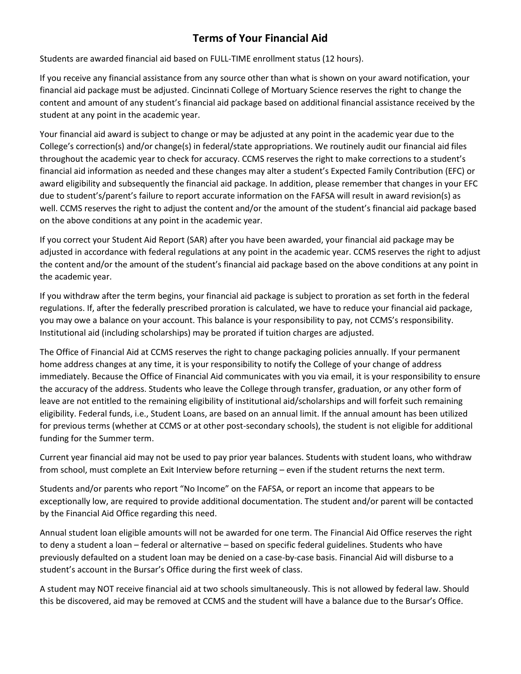# **Terms of Your Financial Aid**

Students are awarded financial aid based on FULL-TIME enrollment status (12 hours).

If you receive any financial assistance from any source other than what is shown on your award notification, your financial aid package must be adjusted. Cincinnati College of Mortuary Science reserves the right to change the content and amount of any student's financial aid package based on additional financial assistance received by the student at any point in the academic year.

Your financial aid award is subject to change or may be adjusted at any point in the academic year due to the College's correction(s) and/or change(s) in federal/state appropriations. We routinely audit our financial aid files throughout the academic year to check for accuracy. CCMS reserves the right to make corrections to a student's financial aid information as needed and these changes may alter a student's Expected Family Contribution (EFC) or award eligibility and subsequently the financial aid package. In addition, please remember that changes in your EFC due to student's/parent's failure to report accurate information on the FAFSA will result in award revision(s) as well. CCMS reserves the right to adjust the content and/or the amount of the student's financial aid package based on the above conditions at any point in the academic year.

If you correct your Student Aid Report (SAR) after you have been awarded, your financial aid package may be adjusted in accordance with federal regulations at any point in the academic year. CCMS reserves the right to adjust the content and/or the amount of the student's financial aid package based on the above conditions at any point in the academic year.

If you withdraw after the term begins, your financial aid package is subject to proration as set forth in the federal regulations. If, after the federally prescribed proration is calculated, we have to reduce your financial aid package, you may owe a balance on your account. This balance is your responsibility to pay, not CCMS's responsibility. Institutional aid (including scholarships) may be prorated if tuition charges are adjusted.

The Office of Financial Aid at CCMS reserves the right to change packaging policies annually. If your permanent home address changes at any time, it is your responsibility to notify the College of your change of address immediately. Because the Office of Financial Aid communicates with you via email, it is your responsibility to ensure the accuracy of the address. Students who leave the College through transfer, graduation, or any other form of leave are not entitled to the remaining eligibility of institutional aid/scholarships and will forfeit such remaining eligibility. Federal funds, i.e., Student Loans, are based on an annual limit. If the annual amount has been utilized for previous terms (whether at CCMS or at other post-secondary schools), the student is not eligible for additional funding for the Summer term.

Current year financial aid may not be used to pay prior year balances. Students with student loans, who withdraw from school, must complete an Exit Interview before returning – even if the student returns the next term.

Students and/or parents who report "No Income" on the FAFSA, or report an income that appears to be exceptionally low, are required to provide additional documentation. The student and/or parent will be contacted by the Financial Aid Office regarding this need.

Annual student loan eligible amounts will not be awarded for one term. The Financial Aid Office reserves the right to deny a student a loan – federal or alternative – based on specific federal guidelines. Students who have previously defaulted on a student loan may be denied on a case-by-case basis. Financial Aid will disburse to a student's account in the Bursar's Office during the first week of class.

A student may NOT receive financial aid at two schools simultaneously. This is not allowed by federal law. Should this be discovered, aid may be removed at CCMS and the student will have a balance due to the Bursar's Office.